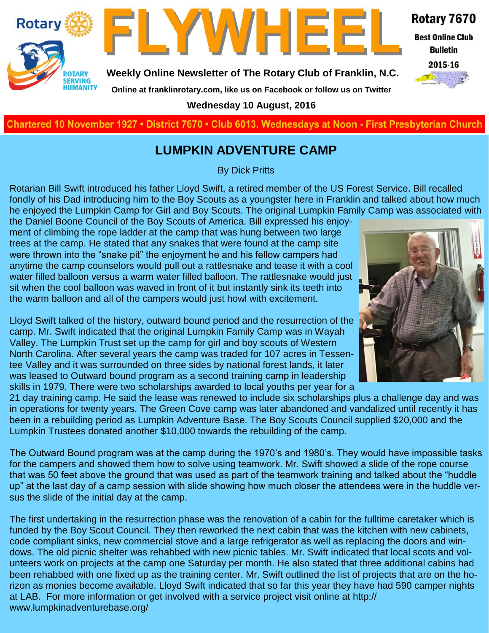



**Weekly Online Newsletter of The Rotary Club of Franklin, N.C.**

Rotary 7670

**Best Online Club Bulletin** 

2015-16

**Online at franklinrotary.com, like us on Facebook or follow us on Twitter Wednesday 10 August, 2016**

**Charted November 29, 1927 • District 7670 • Club 6013 Wednesdays at Noon - First Presbyterian Church**

#### **LUMPKIN ADVENTURE CAMP**

By Dick Pritts

Rotarian Bill Swift introduced his father Lloyd Swift, a retired member of the US Forest Service. Bill recalled fondly of his Dad introducing him to the Boy Scouts as a youngster here in Franklin and talked about how much he enjoyed the Lumpkin Camp for Girl and Boy Scouts. The original Lumpkin Family Camp was associated with

the Daniel Boone Council of the Boy Scouts of America. Bill expressed his enjoyment of climbing the rope ladder at the camp that was hung between two large trees at the camp. He stated that any snakes that were found at the camp site were thrown into the "snake pit" the enjoyment he and his fellow campers had anytime the camp counselors would pull out a rattlesnake and tease it with a cool water filled balloon versus a warm water filled balloon. The rattlesnake would just sit when the cool balloon was waved in front of it but instantly sink its teeth into the warm balloon and all of the campers would just howl with excitement.



Lloyd Swift talked of the history, outward bound period and the resurrection of the camp. Mr. Swift indicated that the original Lumpkin Family Camp was in Wayah Valley. The Lumpkin Trust set up the camp for girl and boy scouts of Western North Carolina. After several years the camp was traded for 107 acres in Tessentee Valley and it was surrounded on three sides by national forest lands, it later was leased to Outward bound program as a second training camp in leadership skills in 1979. There were two scholarships awarded to local youths per year for a

21 day training camp. He said the lease was renewed to include six scholarships plus a challenge day and was in operations for twenty years. The Green Cove camp was later abandoned and vandalized until recently it has been in a rebuilding period as Lumpkin Adventure Base. The Boy Scouts Council supplied \$20,000 and the Lumpkin Trustees donated another \$10,000 towards the rebuilding of the camp.

The Outward Bound program was at the camp during the 1970's and 1980's. They would have impossible tasks for the campers and showed them how to solve using teamwork. Mr. Swift showed a slide of the rope course that was 50 feet above the ground that was used as part of the teamwork training and talked about the "huddle up" at the last day of a camp session with slide showing how much closer the attendees were in the huddle versus the slide of the initial day at the camp.

The first undertaking in the resurrection phase was the renovation of a cabin for the fulltime caretaker which is funded by the Boy Scout Council. They then reworked the next cabin that was the kitchen with new cabinets, code compliant sinks, new commercial stove and a large refrigerator as well as replacing the doors and windows. The old picnic shelter was rehabbed with new picnic tables. Mr. Swift indicated that local scots and volunteers work on projects at the camp one Saturday per month. He also stated that three additional cabins had been rehabbed with one fixed up as the training center. Mr. Swift outlined the list of projects that are on the horizon as monies become available. Lloyd Swift indicated that so far this year they have had 590 camper nights at LAB. For more information or get involved with a service project visit online at http:// www.lumpkinadventurebase.org/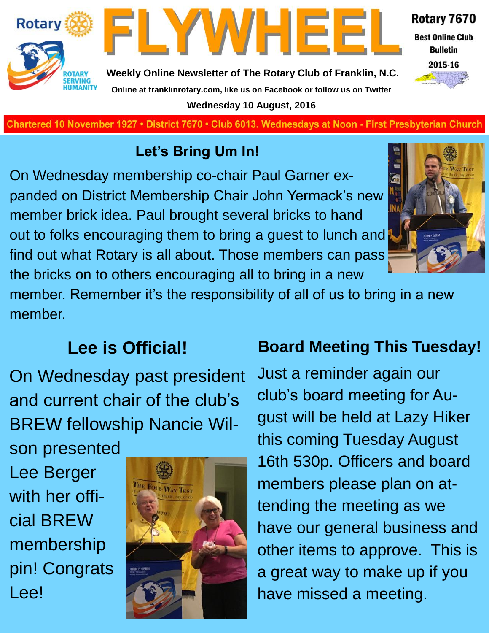



**Weekly Online Newsletter of The Rotary Club of Franklin, N.C. Online at franklinrotary.com, like us on Facebook or follow us on Twitter Wednesday 10 August, 2016**

**Charted November 29, 1927 • District 7670 • Club 6013 Wednesdays at Noon - First Presbyterian Church**

## **Let's Bring Um In!**

On Wednesday membership co-chair Paul Garner expanded on District Membership Chair John Yermack's new member brick idea. Paul brought several bricks to hand out to folks encouraging them to bring a guest to lunch and find out what Rotary is all about. Those members can pass the bricks on to others encouraging all to bring in a new



Rotary 7670

**Best Online Club Bulletin** 2015-16

member. Remember it's the responsibility of all of us to bring in a new member.

## **Lee is Official!**

On Wednesday past president and current chair of the club's BREW fellowship Nancie Wil-

son presented Lee Berger with her official BREW membership pin! Congrats Lee!



## **Board Meeting This Tuesday!**

Just a reminder again our club's board meeting for August will be held at Lazy Hiker this coming Tuesday August 16th 530p. Officers and board members please plan on attending the meeting as we have our general business and other items to approve. This is a great way to make up if you have missed a meeting.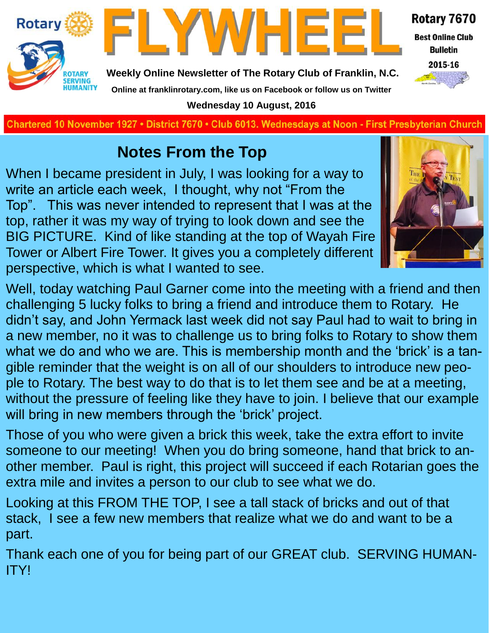



Rotary 7670

**Best Online Club Bulletin** 



**Weekly Online Newsletter of The Rotary Club of Franklin, N.C. Online at franklinrotary.com, like us on Facebook or follow us on Twitter**

**Wednesday 10 August, 2016**

**Charted November 29, 1927 • District 7670 • Club 6013 Wednesdays at Noon - First Presbyterian Church**

## **Notes From the Top**

When I became president in July, I was looking for a way to write an article each week, I thought, why not "From the Top". This was never intended to represent that I was at the top, rather it was my way of trying to look down and see the BIG PICTURE. Kind of like standing at the top of Wayah Fire Tower or Albert Fire Tower. It gives you a completely different perspective, which is what I wanted to see.



Well, today watching Paul Garner come into the meeting with a friend and then challenging 5 lucky folks to bring a friend and introduce them to Rotary. He didn't say, and John Yermack last week did not say Paul had to wait to bring in a new member, no it was to challenge us to bring folks to Rotary to show them what we do and who we are. This is membership month and the 'brick' is a tangible reminder that the weight is on all of our shoulders to introduce new people to Rotary. The best way to do that is to let them see and be at a meeting, without the pressure of feeling like they have to join. I believe that our example will bring in new members through the 'brick' project.

Those of you who were given a brick this week, take the extra effort to invite someone to our meeting! When you do bring someone, hand that brick to another member. Paul is right, this project will succeed if each Rotarian goes the extra mile and invites a person to our club to see what we do.

Looking at this FROM THE TOP, I see a tall stack of bricks and out of that stack, I see a few new members that realize what we do and want to be a part.

Thank each one of you for being part of our GREAT club. SERVING HUMAN-ITY!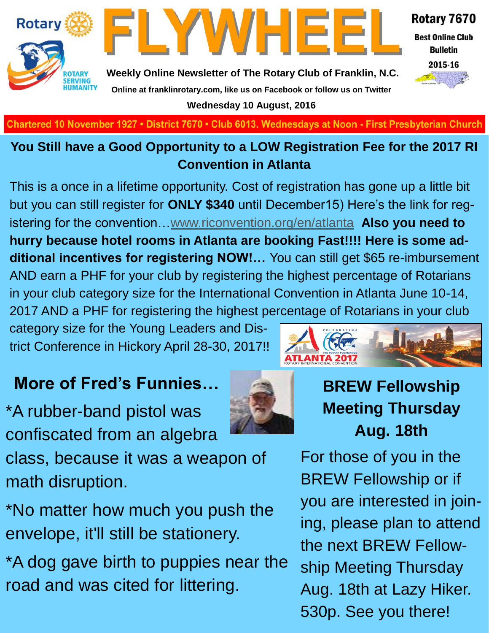

**Best Online Club Bulletin** 

2015-16



**Weekly Online Newsletter of The Rotary Club of Franklin, N.C. Online at franklinrotary.com, like us on Facebook or follow us on Twitter Wednesday 10 August, 2016**

FLYWHEE

**Charted November 29, 1927 • District 7670 • Club 6013 Wednesdays at Noon - First Presbyterian Church**

#### **You Still have a Good Opportunity to a LOW Registration Fee for the 2017 RI Convention in Atlanta**

This is a once in a lifetime opportunity. Cost of registration has gone up a little bit but you can still register for **ONLY \$340** until December15) Here's the link for registering for the convention…[www.riconvention.org/en/atlanta](http://www.riconvention.org/en/atlanta) **Also you need to hurry because hotel rooms in Atlanta are booking Fast!!!! Here is some additional incentives for registering NOW!…** You can still get \$65 re-imbursement AND earn a PHF for your club by registering the highest percentage of Rotarians in your club category size for the International Convention in Atlanta June 10-14, 2017 AND a PHF for registering the highest percentage of Rotarians in your club

category size for the Young Leaders and District Conference in Hickory April 28-30, 2017!!

## **More of Fred's Funnies…**

\*A rubber-band pistol was confiscated from an algebra

class, because it was a weapon of math disruption.

\*No matter how much you push the envelope, it'll still be stationery.

\*A dog gave birth to puppies near the road and was cited for littering.





For those of you in the BREW Fellowship or if you are interested in joining, please plan to attend the next BREW Fellowship Meeting Thursday Aug. 18th at Lazy Hiker. 530p. See you there!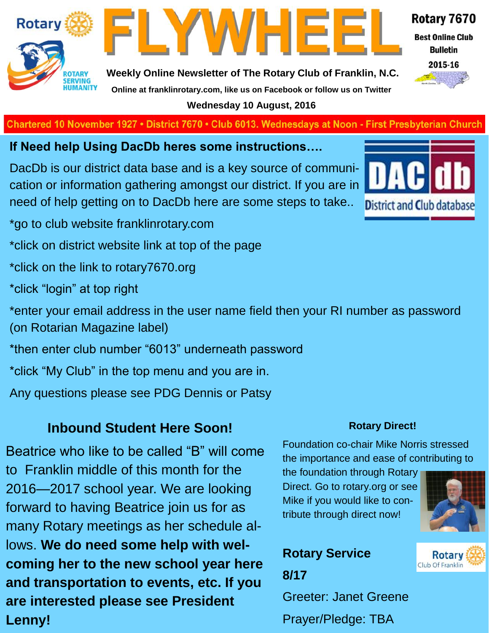

FLYWHEE

Rotary 7670

**Best Online Club Bulletin** 

2015-16

#### **Weekly Online Newsletter of The Rotary Club of Franklin, N.C. Online at franklinrotary.com, like us on Facebook or follow us on Twitter Wednesday 10 August, 2016**

**Charted November 29, 1927 • District 7670 • Club 6013 Wednesdays at Noon - First Presbyterian Church**

**If Need help Using DacDb heres some instructions….**

DacDb is our district data base and is a key source of communication or information gathering amongst our district. If you are in need of help getting on to DacDb here are some steps to take..

\*go to club website franklinrotary.com

\*click on district website link at top of the page

\*click on the link to rotary7670.org

\*click "login" at top right

\*enter your email address in the user name field then your RI number as password (on Rotarian Magazine label)

\*then enter club number "6013" underneath password

\*click "My Club" in the top menu and you are in.

Any questions please see PDG Dennis or Patsy

## **Inbound Student Here Soon!**

Beatrice who like to be called "B" will come to Franklin middle of this month for the 2016—2017 school year. We are looking forward to having Beatrice join us for as many Rotary meetings as her schedule allows. **We do need some help with welcoming her to the new school year here and transportation to events, etc. If you are interested please see President Lenny!** 



#### **Rotary Direct!**

Foundation co-chair Mike Norris stressed the importance and ease of contributing to

the foundation through Rotary Direct. Go to rotary.org or see Mike if you would like to contribute through direct now!



**Rotary** Club Of Franklin

## **Rotary Service 8/17**

Greeter: Janet Greene Prayer/Pledge: TBA